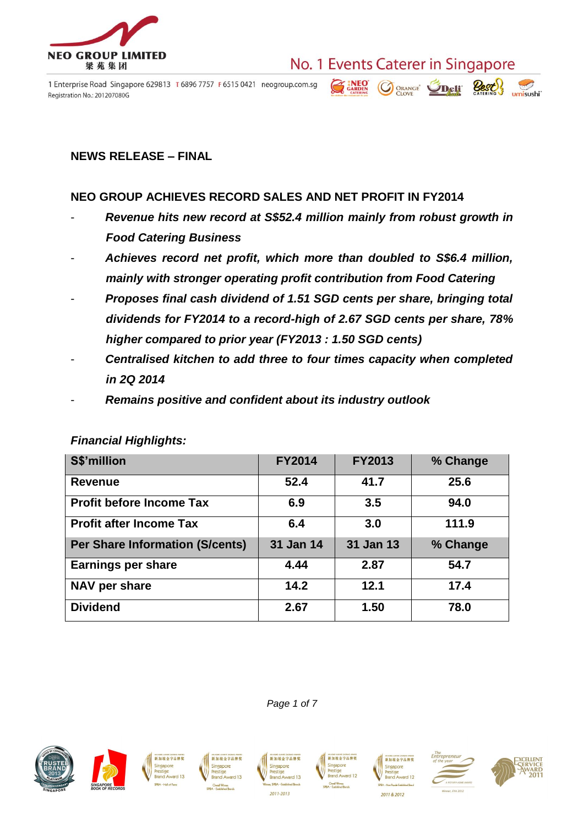

1 Enterprise Road Singapore 629813 T 6896 7757 F 6515 0421 neogroup.com.sg Registration No.: 201207080G

# No. 1 Events Caterer in Singapore



#### **NEWS RELEASE – FINAL**

#### **NEO GROUP ACHIEVES RECORD SALES AND NET PROFIT IN FY2014**

- *Revenue hits new record at S\$52.4 million mainly from robust growth in Food Catering Business*
- *Achieves record net profit, which more than doubled to S\$6.4 million, mainly with stronger operating profit contribution from Food Catering*
- *Proposes final cash dividend of 1.51 SGD cents per share, bringing total dividends for FY2014 to a record-high of 2.67 SGD cents per share, 78% higher compared to prior year (FY2013 : 1.50 SGD cents)*
- *Centralised kitchen to add three to four times capacity when completed in 2Q 2014*
- *Remains positive and confident about its industry outlook*

| S\$'million                            | <b>FY2014</b> | <b>FY2013</b> | % Change |
|----------------------------------------|---------------|---------------|----------|
| <b>Revenue</b>                         | 52.4          | 41.7          | 25.6     |
| <b>Profit before Income Tax</b>        | 6.9           | 3.5           | 94.0     |
| <b>Profit after Income Tax</b>         | 6.4           | 3.0           | 111.9    |
| <b>Per Share Information (S/cents)</b> | 31 Jan 14     | 31 Jan 13     | % Change |
| <b>Earnings per share</b>              | 4.44          | 2.87          | 54.7     |
| NAV per share                          | 14.2          | 12.1          | 17.4     |
| <b>Dividend</b>                        | 2.67          | 1.50          | 78.0     |

#### *Financial Highlights:*









新加坡金字品牌奖 Singapore **Brand Award 13** 2011-2013

*Page 1 of 7*







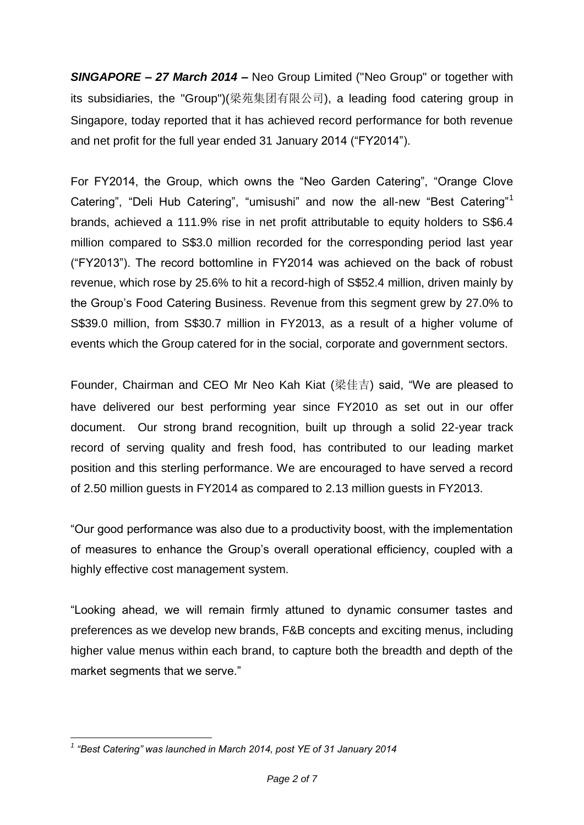*SINGAPORE – 27 March 2014* **–** Neo Group Limited ("Neo Group" or together with its subsidiaries, the "Group")(梁苑集团有限公司), a leading food catering group in Singapore, today reported that it has achieved record performance for both revenue and net profit for the full year ended 31 January 2014 ("FY2014").

For FY2014, the Group, which owns the "Neo Garden Catering", "Orange Clove Catering", "Deli Hub Catering", "umisushi" and now the all-new "Best Catering"<sup>1</sup> brands, achieved a 111.9% rise in net profit attributable to equity holders to S\$6.4 million compared to S\$3.0 million recorded for the corresponding period last year ("FY2013"). The record bottomline in FY2014 was achieved on the back of robust revenue, which rose by 25.6% to hit a record-high of S\$52.4 million, driven mainly by the Group's Food Catering Business. Revenue from this segment grew by 27.0% to S\$39.0 million, from S\$30.7 million in FY2013, as a result of a higher volume of events which the Group catered for in the social, corporate and government sectors.

Founder, Chairman and CEO Mr Neo Kah Kiat (梁佳吉) said, "We are pleased to have delivered our best performing year since FY2010 as set out in our offer document. Our strong brand recognition, built up through a solid 22-year track record of serving quality and fresh food, has contributed to our leading market position and this sterling performance. We are encouraged to have served a record of 2.50 million guests in FY2014 as compared to 2.13 million guests in FY2013.

"Our good performance was also due to a productivity boost, with the implementation of measures to enhance the Group's overall operational efficiency, coupled with a highly effective cost management system.

"Looking ahead, we will remain firmly attuned to dynamic consumer tastes and preferences as we develop new brands, F&B concepts and exciting menus, including higher value menus within each brand, to capture both the breadth and depth of the market segments that we serve."

<sup>&</sup>lt;u>.</u> *1 "Best Catering" was launched in March 2014, post YE of 31 January 2014*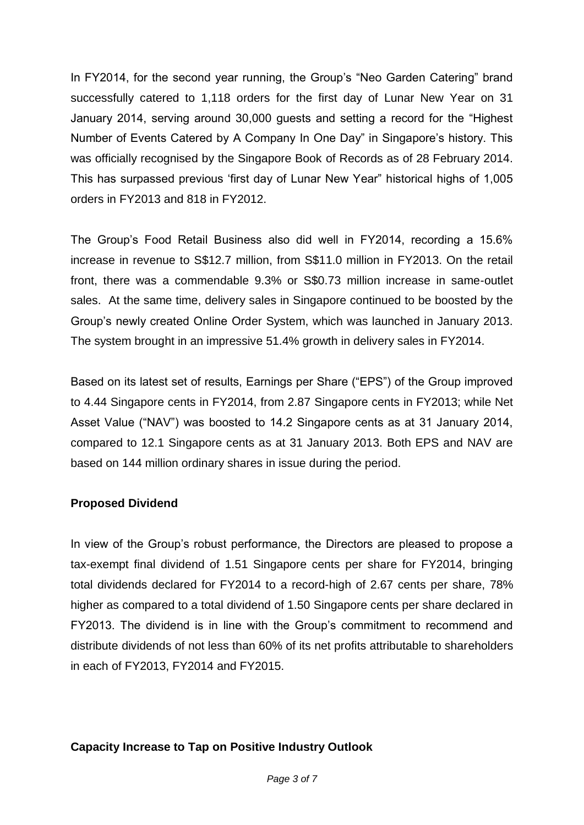In FY2014, for the second year running, the Group's "Neo Garden Catering" brand successfully catered to 1,118 orders for the first day of Lunar New Year on 31 January 2014, serving around 30,000 guests and setting a record for the "Highest Number of Events Catered by A Company In One Day" in Singapore's history. This was officially recognised by the Singapore Book of Records as of 28 February 2014. This has surpassed previous 'first day of Lunar New Year" historical highs of 1,005 orders in FY2013 and 818 in FY2012.

The Group's Food Retail Business also did well in FY2014, recording a 15.6% increase in revenue to S\$12.7 million, from S\$11.0 million in FY2013. On the retail front, there was a commendable 9.3% or S\$0.73 million increase in same-outlet sales. At the same time, delivery sales in Singapore continued to be boosted by the Group's newly created Online Order System, which was launched in January 2013. The system brought in an impressive 51.4% growth in delivery sales in FY2014.

Based on its latest set of results, Earnings per Share ("EPS") of the Group improved to 4.44 Singapore cents in FY2014, from 2.87 Singapore cents in FY2013; while Net Asset Value ("NAV") was boosted to 14.2 Singapore cents as at 31 January 2014, compared to 12.1 Singapore cents as at 31 January 2013. Both EPS and NAV are based on 144 million ordinary shares in issue during the period.

## **Proposed Dividend**

In view of the Group's robust performance, the Directors are pleased to propose a tax-exempt final dividend of 1.51 Singapore cents per share for FY2014, bringing total dividends declared for FY2014 to a record-high of 2.67 cents per share, 78% higher as compared to a total dividend of 1.50 Singapore cents per share declared in FY2013. The dividend is in line with the Group's commitment to recommend and distribute dividends of not less than 60% of its net profits attributable to shareholders in each of FY2013, FY2014 and FY2015.

## **Capacity Increase to Tap on Positive Industry Outlook**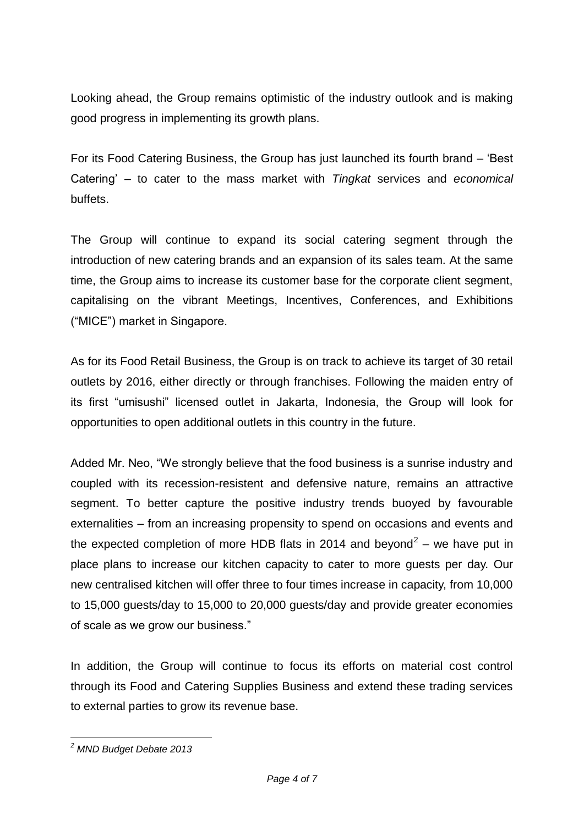Looking ahead, the Group remains optimistic of the industry outlook and is making good progress in implementing its growth plans.

For its Food Catering Business, the Group has just launched its fourth brand – 'Best Catering' – to cater to the mass market with *Tingkat* services and *economical* buffets.

The Group will continue to expand its social catering segment through the introduction of new catering brands and an expansion of its sales team. At the same time, the Group aims to increase its customer base for the corporate client segment, capitalising on the vibrant Meetings, Incentives, Conferences, and Exhibitions ("MICE") market in Singapore.

As for its Food Retail Business, the Group is on track to achieve its target of 30 retail outlets by 2016, either directly or through franchises. Following the maiden entry of its first "umisushi" licensed outlet in Jakarta, Indonesia, the Group will look for opportunities to open additional outlets in this country in the future.

Added Mr. Neo, "We strongly believe that the food business is a sunrise industry and coupled with its recession-resistent and defensive nature, remains an attractive segment. To better capture the positive industry trends buoyed by favourable externalities – from an increasing propensity to spend on occasions and events and the expected completion of more HDB flats in 2014 and beyond<sup>2</sup> – we have put in place plans to increase our kitchen capacity to cater to more guests per day. Our new centralised kitchen will offer three to four times increase in capacity, from 10,000 to 15,000 guests/day to 15,000 to 20,000 guests/day and provide greater economies of scale as we grow our business."

In addition, the Group will continue to focus its efforts on material cost control through its Food and Catering Supplies Business and extend these trading services to external parties to grow its revenue base.

<sup>&</sup>lt;u>.</u> *<sup>2</sup> MND Budget Debate 2013*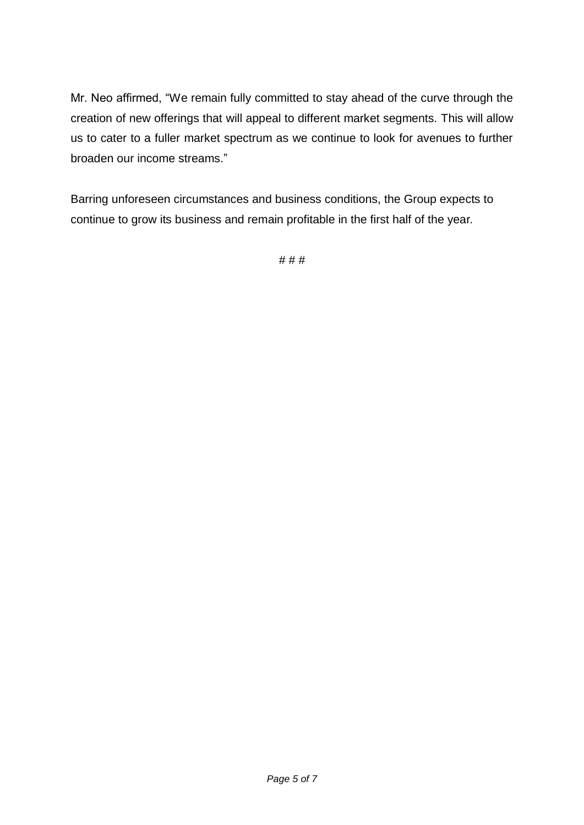Mr. Neo affirmed, "We remain fully committed to stay ahead of the curve through the creation of new offerings that will appeal to different market segments. This will allow us to cater to a fuller market spectrum as we continue to look for avenues to further broaden our income streams."

Barring unforeseen circumstances and business conditions, the Group expects to continue to grow its business and remain profitable in the first half of the year.

# # #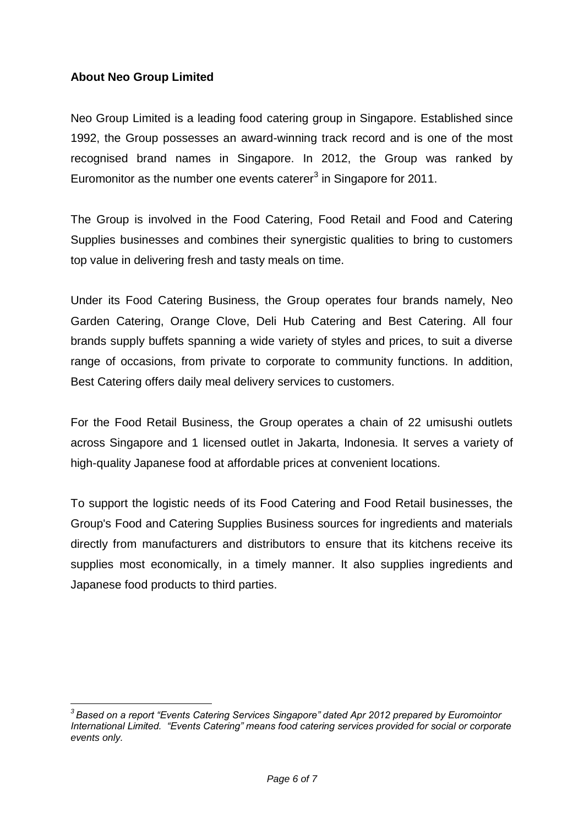## **About Neo Group Limited**

<u>.</u>

Neo Group Limited is a leading food catering group in Singapore. Established since 1992, the Group possesses an award-winning track record and is one of the most recognised brand names in Singapore. In 2012, the Group was ranked by Euromonitor as the number one events caterer $3$  in Singapore for 2011.

The Group is involved in the Food Catering, Food Retail and Food and Catering Supplies businesses and combines their synergistic qualities to bring to customers top value in delivering fresh and tasty meals on time.

Under its Food Catering Business, the Group operates four brands namely, Neo Garden Catering, Orange Clove, Deli Hub Catering and Best Catering. All four brands supply buffets spanning a wide variety of styles and prices, to suit a diverse range of occasions, from private to corporate to community functions. In addition, Best Catering offers daily meal delivery services to customers.

For the Food Retail Business, the Group operates a chain of 22 umisushi outlets across Singapore and 1 licensed outlet in Jakarta, Indonesia. It serves a variety of high-quality Japanese food at affordable prices at convenient locations.

To support the logistic needs of its Food Catering and Food Retail businesses, the Group's Food and Catering Supplies Business sources for ingredients and materials directly from manufacturers and distributors to ensure that its kitchens receive its supplies most economically, in a timely manner. It also supplies ingredients and Japanese food products to third parties.

*<sup>3</sup> Based on a report "Events Catering Services Singapore" dated Apr 2012 prepared by Euromointor International Limited. "Events Catering" means food catering services provided for social or corporate events only.*